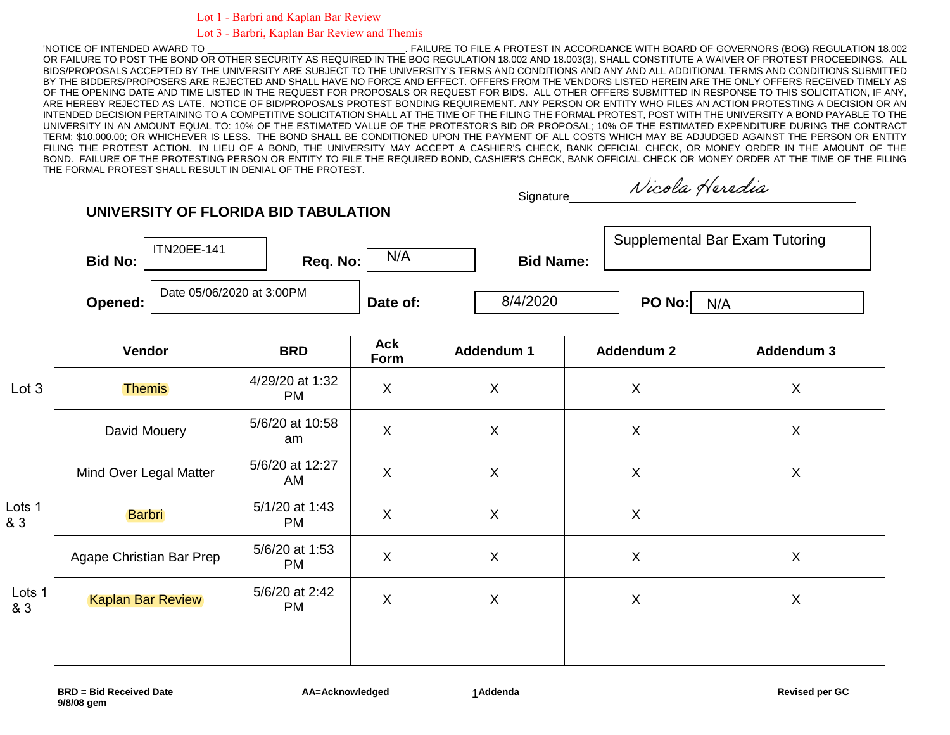Lot 1 - Barbri and Kaplan Bar Review

**UNIVERSITY OF FLORIDA BID TABULATION**

## Lot 3 - Barbri, Kaplan Bar Review and Themis

'NOTICE OF INTENDED AWARD TO \_\_\_\_\_\_\_\_\_\_\_\_\_\_\_\_\_\_\_\_\_\_\_\_\_\_\_\_\_\_\_\_\_\_\_\_\_. FAILURE TO FILE A PROTEST IN ACCORDANCE WITH BOARD OF GOVERNORS (BOG) REGULATION 18.002 OR FAILURE TO POST THE BOND OR OTHER SECURITY AS REQUIRED IN THE BOG REGULATION 18.002 AND 18.003(3), SHALL CONSTITUTE A WAIVER OF PROTEST PROCEEDINGS. ALL BIDS/PROPOSALS ACCEPTED BY THE UNIVERSITY ARE SUBJECT TO THE UNIVERSITY'S TERMS AND CONDITIONS AND ANY AND ALL ADDITIONAL TERMS AND CONDITIONS SUBMITTED BY THE BIDDERS/PROPOSERS ARE REJECTED AND SHALL HAVE NO FORCE AND EFFECT. OFFERS FROM THE VENDORS LISTED HEREIN ARE THE ONLY OFFERS RECEIVED TIMELY AS OF THE OPENING DATE AND TIME LISTED IN THE REQUEST FOR PROPOSALS OR REQUEST FOR BIDS. ALL OTHER OFFERS SUBMITTED IN RESPONSE TO THIS SOLICITATION, IF ANY, ARE HEREBY REJECTED AS LATE. NOTICE OF BID/PROPOSALS PROTEST BONDING REQUIREMENT. ANY PERSON OR ENTITY WHO FILES AN ACTION PROTESTING A DECISION OR AN INTENDED DECISION PERTAINING TO A COMPETITIVE SOLICITATION SHALL AT THE TIME OF THE FILING THE FORMAL PROTEST, POST WITH THE UNIVERSITY A BOND PAYABLE TO THE UNIVERSITY IN AN AMOUNT EQUAL TO: 10% OF THE ESTIMATED VALUE OF THE PROTESTOR'S BID OR PROPOSAL; 10% OF THE ESTIMATED EXPENDITURE DURING THE CONTRACT TERM; \$10,000.00; OR WHICHEVER IS LESS. THE BOND SHALL BE CONDITIONED UPON THE PAYMENT OF ALL COSTS WHICH MAY BE ADJUDGED AGAINST THE PERSON OR ENTITY FILING THE PROTEST ACTION. IN LIEU OF A BOND, THE UNIVERSITY MAY ACCEPT A CASHIER'S CHECK, BANK OFFICIAL CHECK, OR MONEY ORDER IN THE AMOUNT OF THE BOND. FAILURE OF THE PROTESTING PERSON OR ENTITY TO FILE THE REQUIRED BOND, CASHIER'S CHECK, BANK OFFICIAL CHECK OR MONEY ORDER AT THE TIME OF THE FILING THE FORMAL PROTEST SHALL RESULT IN DENIAL OF THE PROTEST.

| Signature |
|-----------|
|           |

Nicola Heredia

| <b>Bid No:</b> | <b>ITN20EE-141</b>        | Reg. No: | N/A      | <b>Bid Name:</b> | Supplemental Bar Exam Tutoring |  |
|----------------|---------------------------|----------|----------|------------------|--------------------------------|--|
| Opened:        | Date 05/06/2020 at 3:00PM |          | Date of: | 8/4/2020         | PO No:<br>N/A                  |  |

|               | Vendor                   | <b>BRD</b>                   | Ack<br>Form               | Addendum 1                | <b>Addendum 2</b>         | <b>Addendum 3</b> |
|---------------|--------------------------|------------------------------|---------------------------|---------------------------|---------------------------|-------------------|
| Lot 3         | <b>Themis</b>            | 4/29/20 at 1:32<br><b>PM</b> | $\boldsymbol{\mathsf{X}}$ | $\boldsymbol{\mathsf{X}}$ | $\boldsymbol{\mathsf{X}}$ | X                 |
|               | David Mouery             | 5/6/20 at 10:58<br>am        | $\boldsymbol{\mathsf{X}}$ | $\boldsymbol{\mathsf{X}}$ | $\boldsymbol{\mathsf{X}}$ | X                 |
|               | Mind Over Legal Matter   | 5/6/20 at 12:27<br>AM        | $\mathsf X$               | $\mathsf X$               | $\mathsf X$               | X                 |
| Lots 1<br>& 3 | <b>Barbri</b>            | 5/1/20 at 1:43<br><b>PM</b>  | $\boldsymbol{\mathsf{X}}$ | $\sf X$                   | $\boldsymbol{\mathsf{X}}$ |                   |
|               | Agape Christian Bar Prep | 5/6/20 at 1:53<br><b>PM</b>  | $\boldsymbol{\mathsf{X}}$ | $\sf X$                   | $\boldsymbol{\mathsf{X}}$ | X                 |
| Lots 1<br>& 3 | <b>Kaplan Bar Review</b> | 5/6/20 at 2:42<br><b>PM</b>  | $\boldsymbol{\mathsf{X}}$ | $\boldsymbol{\mathsf{X}}$ | $\boldsymbol{\mathsf{X}}$ | X                 |
|               |                          |                              |                           |                           |                           |                   |